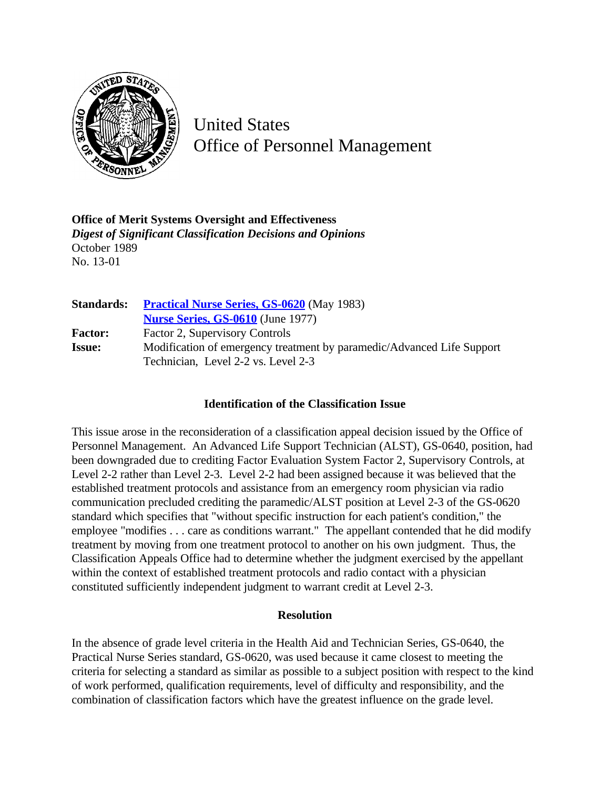

United States Office of Personnel Management

**Office of Merit Systems Oversight and Effectiveness** *Digest of Significant Classification Decisions and Opinions* October 1989 No. 13-01

| <b>Standards:</b> | <b>Practical Nurse Series, GS-0620</b> (May 1983)                      |
|-------------------|------------------------------------------------------------------------|
|                   | <b>Nurse Series, GS-0610</b> (June 1977)                               |
| <b>Factor:</b>    | Factor 2, Supervisory Controls                                         |
| <b>Issue:</b>     | Modification of emergency treatment by paramedic/Advanced Life Support |
|                   | Technician, Level 2-2 vs. Level 2-3                                    |

## **Identification of the Classification Issue**

This issue arose in the reconsideration of a classification appeal decision issued by the Office of Personnel Management. An Advanced Life Support Technician (ALST), GS-0640, position, had been downgraded due to crediting Factor Evaluation System Factor 2, Supervisory Controls, at Level 2-2 rather than Level 2-3. Level 2-2 had been assigned because it was believed that the established treatment protocols and assistance from an emergency room physician via radio communication precluded crediting the paramedic/ALST position at Level 2-3 of the GS-0620 standard which specifies that "without specific instruction for each patient's condition," the employee "modifies . . . care as conditions warrant." The appellant contended that he did modify treatment by moving from one treatment protocol to another on his own judgment. Thus, the Classification Appeals Office had to determine whether the judgment exercised by the appellant within the context of established treatment protocols and radio contact with a physician constituted sufficiently independent judgment to warrant credit at Level 2-3.

## **Resolution**

In the absence of grade level criteria in the Health Aid and Technician Series, GS-0640, the Practical Nurse Series standard, GS-0620, was used because it came closest to meeting the criteria for selecting a standard as similar as possible to a subject position with respect to the kind of work performed, qualification requirements, level of difficulty and responsibility, and the combination of classification factors which have the greatest influence on the grade level.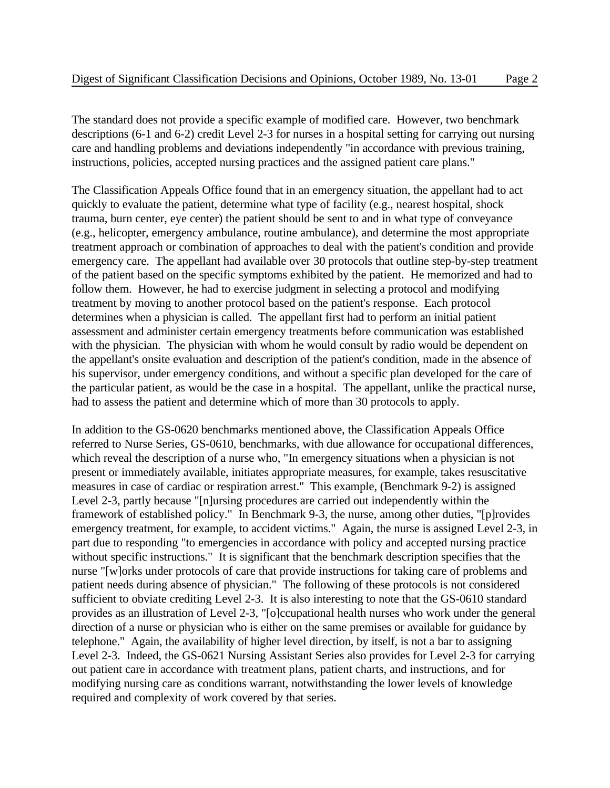The standard does not provide a specific example of modified care. However, two benchmark descriptions (6-1 and 6-2) credit Level 2-3 for nurses in a hospital setting for carrying out nursing care and handling problems and deviations independently "in accordance with previous training, instructions, policies, accepted nursing practices and the assigned patient care plans."

The Classification Appeals Office found that in an emergency situation, the appellant had to act quickly to evaluate the patient, determine what type of facility (e.g., nearest hospital, shock trauma, burn center, eye center) the patient should be sent to and in what type of conveyance (e.g., helicopter, emergency ambulance, routine ambulance), and determine the most appropriate treatment approach or combination of approaches to deal with the patient's condition and provide emergency care. The appellant had available over 30 protocols that outline step-by-step treatment of the patient based on the specific symptoms exhibited by the patient. He memorized and had to follow them. However, he had to exercise judgment in selecting a protocol and modifying treatment by moving to another protocol based on the patient's response. Each protocol determines when a physician is called. The appellant first had to perform an initial patient assessment and administer certain emergency treatments before communication was established with the physician. The physician with whom he would consult by radio would be dependent on the appellant's onsite evaluation and description of the patient's condition, made in the absence of his supervisor, under emergency conditions, and without a specific plan developed for the care of the particular patient, as would be the case in a hospital. The appellant, unlike the practical nurse, had to assess the patient and determine which of more than 30 protocols to apply.

In addition to the GS-0620 benchmarks mentioned above, the Classification Appeals Office referred to Nurse Series, GS-0610, benchmarks, with due allowance for occupational differences, which reveal the description of a nurse who, "In emergency situations when a physician is not present or immediately available, initiates appropriate measures, for example, takes resuscitative measures in case of cardiac or respiration arrest." This example, (Benchmark 9-2) is assigned Level 2-3, partly because "[n]ursing procedures are carried out independently within the framework of established policy." In Benchmark 9-3, the nurse, among other duties, "[p]rovides emergency treatment, for example, to accident victims." Again, the nurse is assigned Level 2-3, in part due to responding "to emergencies in accordance with policy and accepted nursing practice without specific instructions." It is significant that the benchmark description specifies that the nurse "[w]orks under protocols of care that provide instructions for taking care of problems and patient needs during absence of physician." The following of these protocols is not considered sufficient to obviate crediting Level 2-3. It is also interesting to note that the GS-0610 standard provides as an illustration of Level 2-3, "[o]ccupational health nurses who work under the general direction of a nurse or physician who is either on the same premises or available for guidance by telephone." Again, the availability of higher level direction, by itself, is not a bar to assigning Level 2-3. Indeed, the GS-0621 Nursing Assistant Series also provides for Level 2-3 for carrying out patient care in accordance with treatment plans, patient charts, and instructions, and for modifying nursing care as conditions warrant, notwithstanding the lower levels of knowledge required and complexity of work covered by that series.